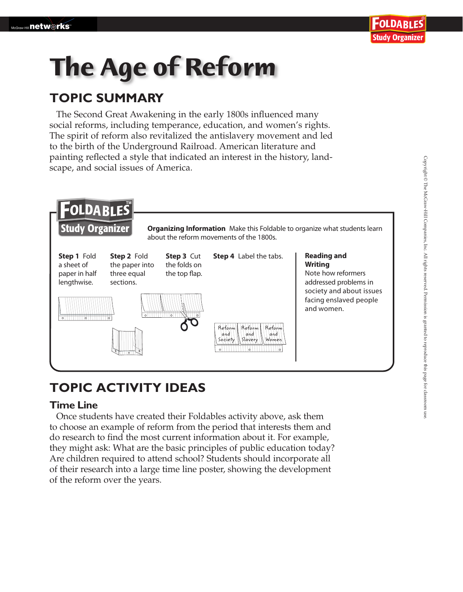# **The Age of Reform**

## **TOPIC SUMMARY**

The Second Great Awakening in the early 1800s influenced many social reforms, including temperance, education, and women's rights. The spirit of reform also revitalized the antislavery movement and led to the birth of the Underground Railroad. American literature and painting reflected a style that indicated an interest in the history, landscape, and social issues of America.



## **TOPIC ACTIVITY IDEAS**

#### **Time Line**

Once students have created their Foldables activity above, ask them to choose an example of reform from the period that interests them and do research to find the most current information about it. For example, they might ask: What are the basic principles of public education today? Are children required to attend school? Students should incorporate all of their research into a large time line poster, showing the development of the reform over the years.